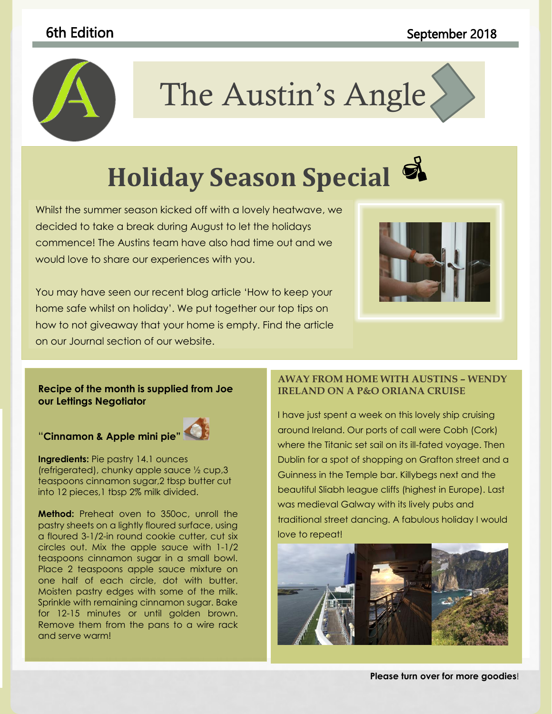# 6th Edition **September 2018**



# The Austin's Angle

to coordinate with the overall look of your document. You can use

#### these galleries to insert tables,  $\mathcal{A}$ and document building building building building building building building building building building buildin **Holiday Season Special**

Whilst the summer season kicked off with a lovely heatwave, we consider the contract of decided to take a break during August to let the holidays **and the set of the look of the set of the s** commence! The Austins team have also had time out and we would love to share our experiences with you.

You may have seen our recent blog article 'How to keep your home safe whilst on holiday'. We put together our top tips on how to not giveaway that your home is empty. Find the article on our Journal section of our website.



#### **Recipe of the month is supplied from Joe our Lettings Negotiator**

# "**Cinnamon & Apple mini pie"**



**Ingredients:** Pie pastry 14.1 ounces (refrigerated), chunky apple sauce ½ cup,3 teaspoons cinnamon sugar,2 tbsp butter cut into 12 pieces,1 tbsp 2% milk divided.

**Method:** Preheat oven to 350oc, unroll the pastry sheets on a lightly floured surface, using a floured 3-1/2-in round cookie cutter, cut six circles out. Mix the apple sauce with 1-1/2 teaspoons cinnamon sugar in a small bowl. Place 2 teaspoons apple sauce mixture on one half of each circle, dot with butter. Moisten pastry edges with some of the milk. Sprinkle with remaining cinnamon sugar. Bake for 12-15 minutes or until golden brown. Remove them from the pans to a wire rack and serve warm!

#### **AWAY FROM HOME WITH AUSTINS – WENDY IRELAND ON A P&O ORIANA CRUISE**

I have just spent a week on this lovely ship cruising around Ireland. Our ports of call were Cobh (Cork) where the Titanic set sail on its ill-fated voyage. Then Dublin for a spot of shopping on Grafton street and a Guinness in the Temple bar. Killybegs next and the beautiful Sliabh league cliffs (highest in Europe). Last was medieval Galway with its lively pubs and traditional street dancing. A fabulous holiday I would love to repeat!



**Please turn over for more goodies**!